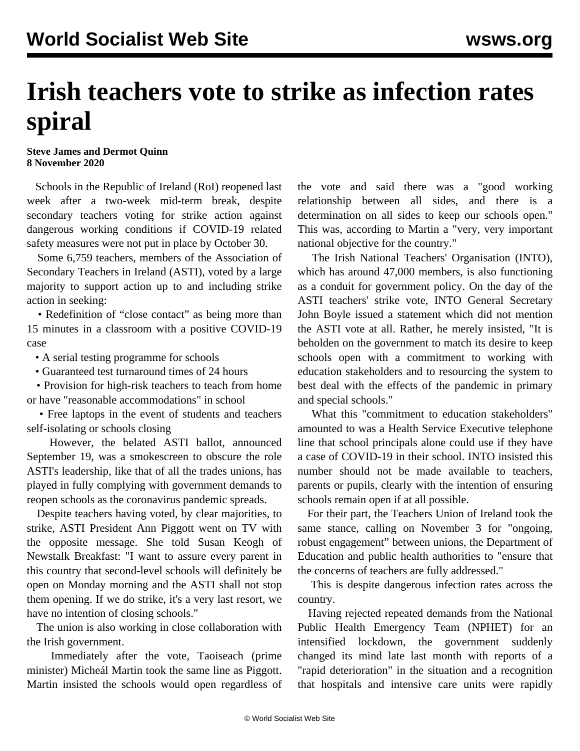## **Irish teachers vote to strike as infection rates spiral**

## **Steve James and Dermot Quinn 8 November 2020**

 Schools in the Republic of Ireland (RoI) reopened last week after a two-week mid-term break, despite secondary teachers voting for strike action against dangerous working conditions if COVID-19 related safety measures were not put in place by October 30.

 Some 6,759 teachers, members of the Association of Secondary Teachers in Ireland (ASTI), voted by a large majority to support action up to and including strike action in seeking:

• Redefinition of "close contact" as being more than 15 minutes in a classroom with a positive COVID-19 case

- A serial testing programme for schools
- Guaranteed test turnaround times of 24 hours

 • Provision for high-risk teachers to teach from home or have "reasonable accommodations" in school

 • Free laptops in the event of students and teachers self-isolating or schools closing

 However, the belated ASTI ballot, announced September 19, was a smokescreen to obscure the role ASTI's leadership, like that of all the trades unions, has played in fully complying with government demands to reopen schools as the coronavirus pandemic spreads.

 Despite teachers having voted, by clear majorities, to strike, ASTI President Ann Piggott went on TV with the opposite message. She told Susan Keogh of Newstalk Breakfast: "I want to assure every parent in this country that second-level schools will definitely be open on Monday morning and the ASTI shall not stop them opening. If we do strike, it's a very last resort, we have no intention of closing schools."

 The union is also working in close collaboration with the Irish government.

 Immediately after the vote, Taoiseach (prime minister) Micheál Martin took the same line as Piggott. Martin insisted the schools would open regardless of the vote and said there was a "good working relationship between all sides, and there is a determination on all sides to keep our schools open." This was, according to Martin a "very, very important national objective for the country."

 The Irish National Teachers' Organisation (INTO), which has around 47,000 members, is also functioning as a conduit for government policy. On the day of the ASTI teachers' strike vote, INTO General Secretary John Boyle issued a statement which did not mention the ASTI vote at all. Rather, he merely insisted, "It is beholden on the government to match its desire to keep schools open with a commitment to working with education stakeholders and to resourcing the system to best deal with the effects of the pandemic in primary and special schools."

 What this "commitment to education stakeholders" amounted to was a Health Service Executive telephone line that school principals alone could use if they have a case of COVID-19 in their school. INTO insisted this number should not be made available to teachers, parents or pupils, clearly with the intention of ensuring schools remain open if at all possible.

 For their part, the Teachers Union of Ireland took the same stance, calling on November 3 for "ongoing, robust engagement" between unions, the Department of Education and public health authorities to "ensure that the concerns of teachers are fully addressed."

 This is despite dangerous infection rates across the country.

 Having rejected repeated demands from the National Public Health Emergency Team (NPHET) for an intensified lockdown, the government suddenly changed its mind late last month with reports of a "rapid deterioration" in the situation and a recognition that hospitals and intensive care units were rapidly